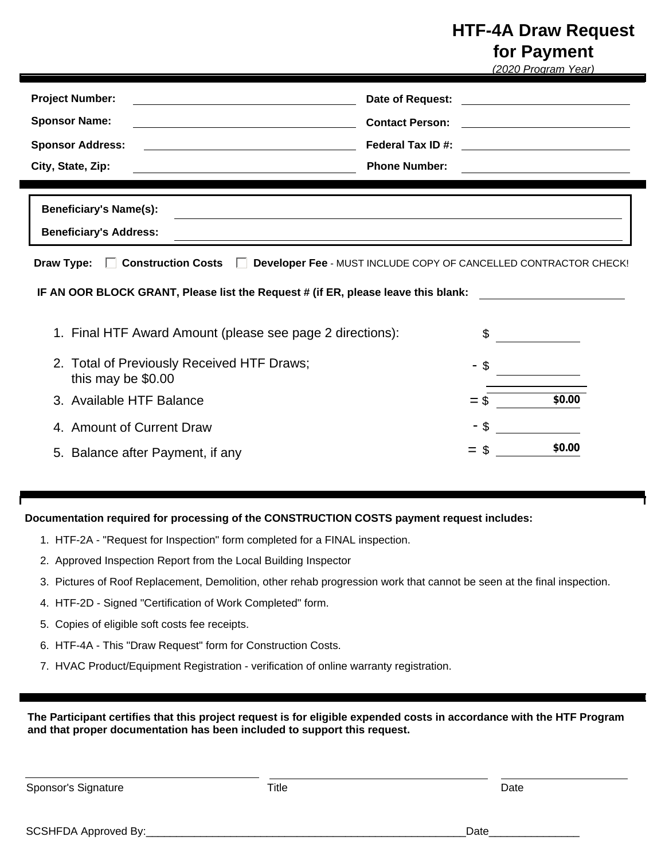## **HTF-4A Draw Request**

**for Payment** 

|                                                                                                                                                                                                                                                         |                        |        | (2020 Program Year)                                                                                                   |
|---------------------------------------------------------------------------------------------------------------------------------------------------------------------------------------------------------------------------------------------------------|------------------------|--------|-----------------------------------------------------------------------------------------------------------------------|
| <b>Project Number:</b><br><u> 1989 - Johann Barn, mars ann an t-Amhain Aonaich an t-Aonaich an t-Aonaich an t-Aonaich an t-Aonaich an t-Aon</u>                                                                                                         | Date of Request:       |        |                                                                                                                       |
| <b>Sponsor Name:</b><br><u> 1980 - Johann Barn, mars ann an t-Amhain Aonaich an t-Aonaich an t-Aonaich ann an t-Aonaich ann an t-Aonaich</u>                                                                                                            | <b>Contact Person:</b> |        | <u> 1989 - Johann Barn, fransk politik (d. 1989)</u>                                                                  |
| <b>Sponsor Address:</b>                                                                                                                                                                                                                                 |                        |        |                                                                                                                       |
| City, State, Zip:                                                                                                                                                                                                                                       | <b>Phone Number:</b>   |        | <u> 1980 - Jan Sterling von Berling von Berling von Berling von Berling von Berling von Berling von Berling von B</u> |
| <b>Beneficiary's Name(s):</b><br><b>Beneficiary's Address:</b><br>,我们也不能在这里的时候,我们也不能会在这里,我们也不能会在这里,我们也不能会在这里的时候,我们也不能会在这里的时候,我们也不能会在这里的时候,我们也不能会在这里<br>Draw Type: Construction Costs C Developer Fee - MUST INCLUDE COPY OF CANCELLED CONTRACTOR CHECK! |                        |        |                                                                                                                       |
| IF AN OOR BLOCK GRANT, Please list the Request # (if ER, please leave this blank:                                                                                                                                                                       |                        |        |                                                                                                                       |
| 1. Final HTF Award Amount (please see page 2 directions):                                                                                                                                                                                               |                        | \$     |                                                                                                                       |
| 2. Total of Previously Received HTF Draws;<br>this may be \$0.00                                                                                                                                                                                        |                        |        |                                                                                                                       |
| 3. Available HTF Balance                                                                                                                                                                                                                                |                        | $=$ \$ | \$0.00                                                                                                                |
| 4. Amount of Current Draw                                                                                                                                                                                                                               |                        |        |                                                                                                                       |
| 5. Balance after Payment, if any                                                                                                                                                                                                                        |                        | $=$    | \$0.00                                                                                                                |

**Documentation required for processing of the CONSTRUCTION COSTS payment request includes:**

- 1. HTF-2A "Request for Inspection" form completed for a FINAL inspection.
- 2. Approved Inspection Report from the Local Building Inspector
- 3. Pictures of Roof Replacement, Demolition, other rehab progression work that cannot be seen at the final inspection.
- 4. HTF-2D Signed "Certification of Work Completed" form.
- 5. Copies of eligible soft costs fee receipts.
- 6. HTF-4A This "Draw Request" form for Construction Costs.
- 7. HVAC Product/Equipment Registration verification of online warranty registration.

**The Participant certifies that this project request is for eligible expended costs in accordance with the HTF Program and that proper documentation has been included to support this request.**

Sponsor's Signature **Title** Title **Consolidation** Date Date Date

SCSHFDA Approved By:\_\_\_\_\_\_\_\_\_\_\_\_\_\_\_\_\_\_\_\_\_\_\_\_\_\_\_\_\_\_\_\_\_\_\_\_\_\_\_\_\_\_\_\_\_\_\_\_\_\_\_\_\_Date\_\_\_\_\_\_\_\_\_\_\_\_\_\_\_